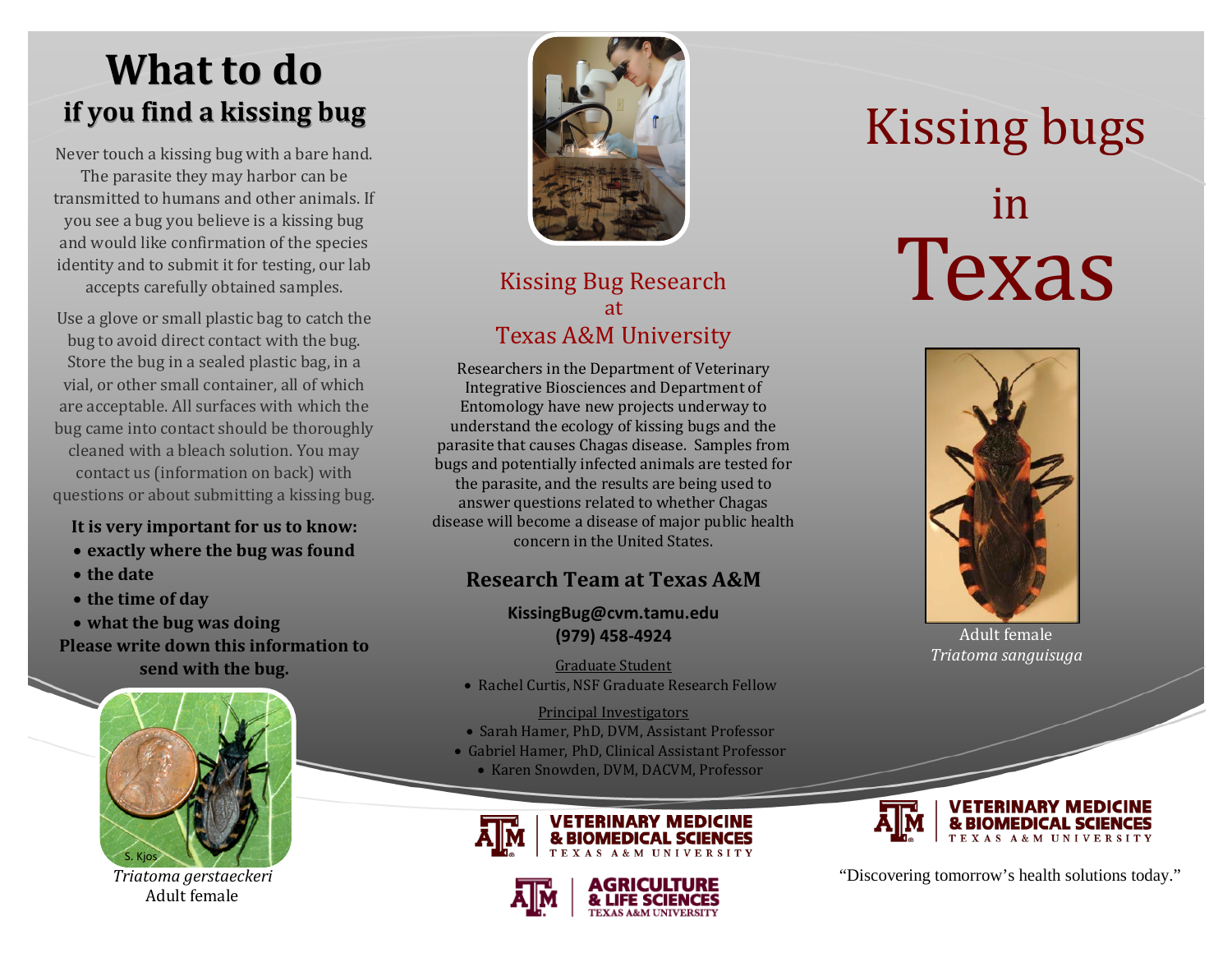# **What to do if you find a kissing bug**

Never touch a kissing bug with a bare hand. The parasite they may harbor can be transmitted to humans and other animals. If you see a bug you believe is a kissing bug and would like confirmation of the species identity and to submit it for testing, our lab accepts carefully obtained samples.

Use a glove or small plastic bag to catch the bug to avoid direct contact with the bug. Store the bug in a sealed plastic bag, in a vial, or other small container, all of which are acceptable. All surfaces with which the bug came into contact should be thoroughly cleaned with a bleach solution. You may contact us (information on back) with questions or about submitting a kissing bug.

### **It is very important for us to know:**

- **exactly where the bug was found**
- **the date**
- **the time of day**
- **what the bug was doing Please write down this information to send with the bug.**



*Triatoma gerstaeckeri* Adult female



# Kissing Bug Research at Texas A&M University

Researchers in the Department of Veterinary Integrative Biosciences and Department of Entomology have new projects underway to understand the ecology of kissing bugs and the parasite that causes Chagas disease. Samples from bugs and potentially infected animals are tested for the parasite, and the results are being used to answer questions related to whether Chagas disease will become a disease of major public health concern in the United States.

### **Research Team at Texas A&M**

### **KissingBug@cvm.tamu.edu (979) 458-4924**

#### Graduate Student

• Rachel Curtis, NSF Graduate Research Fellow

#### Principal Investigators

- Sarah Hamer, PhD, DVM, Assistant Professor
- Gabriel Hamer, PhD, Clinical Assistant Professor • Karen Snowden, DVM, DACVM, Professor





# Kissing bugs in Texas



Adult female *Triatoma sanguisuga*



"Discovering tomorrow's health solutions today."